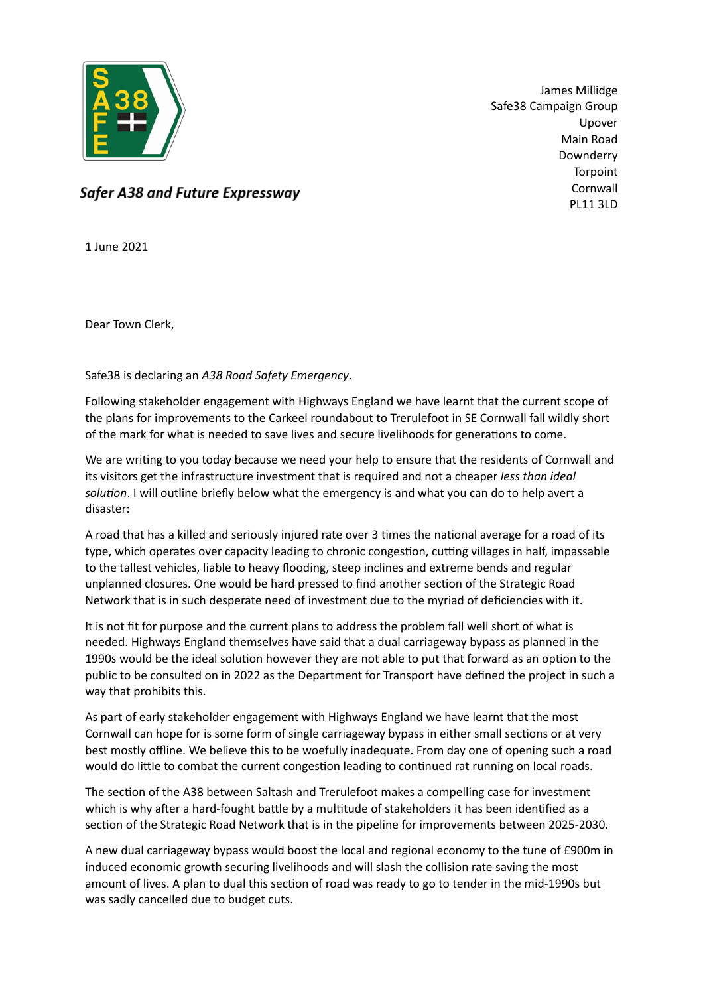

James Millidge Safe38 Campaign Group Upover Main Road Downderry Torpoint Cornwall PL11 3LD

Safer A38 and Future Expressway

1 June 2021

Dear Town Clerk,

Safe38 is declaring an *A38 Road Safety Emergency*.

Following stakeholder engagement with Highways England we have learnt that the current scope of the plans for improvements to the Carkeel roundabout to Trerulefoot in SE Cornwall fall wildly short of the mark for what is needed to save lives and secure livelihoods for generations to come.

We are writing to you today because we need your help to ensure that the residents of Cornwall and its visitors get the infrastructure investment that is required and not a cheaper *less than ideal solution*. I will outline briefly below what the emergency is and what you can do to help avert a disaster:

A road that has a killed and seriously injured rate over 3 times the national average for a road of its type, which operates over capacity leading to chronic congestion, cutting villages in half, impassable to the tallest vehicles, liable to heavy flooding, steep inclines and extreme bends and regular unplanned closures. One would be hard pressed to find another section of the Strategic Road Network that is in such desperate need of investment due to the myriad of deficiencies with it.

It is not fit for purpose and the current plans to address the problem fall well short of what is needed. Highways England themselves have said that a dual carriageway bypass as planned in the 1990s would be the ideal solution however they are not able to put that forward as an option to the public to be consulted on in 2022 as the Department for Transport have defined the project in such a way that prohibits this.

As part of early stakeholder engagement with Highways England we have learnt that the most Cornwall can hope for is some form of single carriageway bypass in either small sections or at very best mostly offline. We believe this to be woefully inadequate. From day one of opening such a road would do little to combat the current congestion leading to continued rat running on local roads.

The section of the A38 between Saltash and Trerulefoot makes a compelling case for investment which is why after a hard-fought battle by a multitude of stakeholders it has been identified as a section of the Strategic Road Network that is in the pipeline for improvements between 2025-2030.

A new dual carriageway bypass would boost the local and regional economy to the tune of £900m in induced economic growth securing livelihoods and will slash the collision rate saving the most amount of lives. A plan to dual this section of road was ready to go to tender in the mid-1990s but was sadly cancelled due to budget cuts.